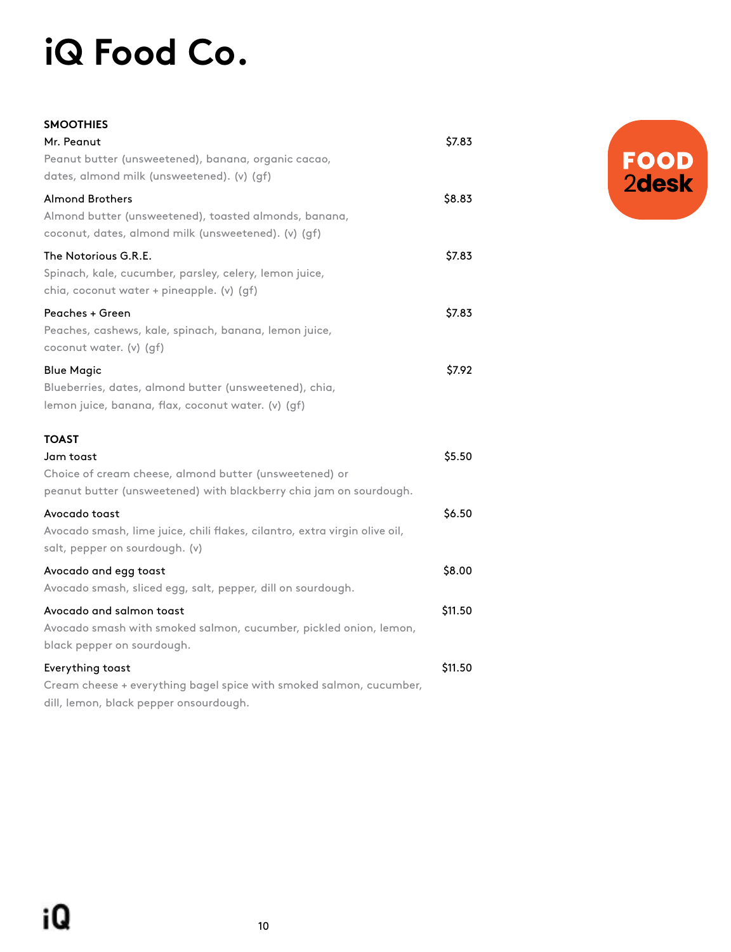## **iQ Food Co.**

| SMOOTHIES                                                                                                     |         |
|---------------------------------------------------------------------------------------------------------------|---------|
| Mr. Peanut                                                                                                    | \$7.83  |
| Peanut butter (unsweetened), banana, organic cacao,                                                           |         |
| dates, almond milk (unsweetened). (v) (gf)                                                                    |         |
| Almond Brothers                                                                                               | \$8.83  |
| Almond butter (unsweetened), toasted almonds, banana,<br>coconut, dates, almond milk (unsweetened). (v) (gf)  |         |
| The Notorious G.R.E.                                                                                          | \$7.83  |
| Spinach, kale, cucumber, parsley, celery, lemon juice,<br>chia, coconut water + pineapple. (v) (gf)           |         |
| Peaches + Green                                                                                               | \$7.83  |
| Peaches, cashews, kale, spinach, banana, lemon juice,<br>coconut water. (v) (gf)                              |         |
| <b>Blue Magic</b>                                                                                             | \$7.92  |
| Blueberries, dates, almond butter (unsweetened), chia,<br>lemon juice, banana, flax, coconut water. (v) (gf)  |         |
| TOAST                                                                                                         |         |
| Jam toast                                                                                                     | \$5.50  |
| Choice of cream cheese, almond butter (unsweetened) or                                                        |         |
| peanut butter (unsweetened) with blackberry chia jam on sourdough.                                            |         |
| Avocado toast                                                                                                 | \$6.50  |
| Avocado smash, lime juice, chili flakes, cilantro, extra virgin olive oil,<br>salt, pepper on sourdough. (v)  |         |
| Avocado and egg toast                                                                                         | \$8.00  |
| Avocado smash, sliced egg, salt, pepper, dill on sourdough.                                                   |         |
| Avocado and salmon toast                                                                                      | \$11.50 |
| Avocado smash with smoked salmon, cucumber, pickled onion, lemon,                                             |         |
| black pepper on sourdough.                                                                                    |         |
| Everything toast                                                                                              | \$11.50 |
| Cream cheese + everything bagel spice with smoked salmon, cucumber,<br>dill, lemon, black pepper onsourdough. |         |

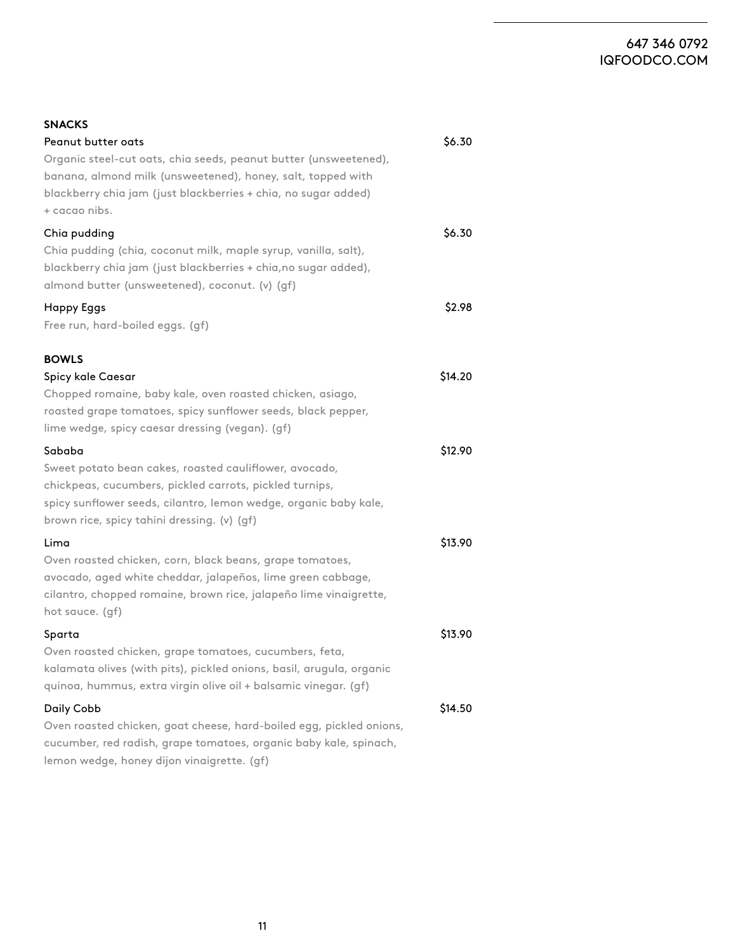## 647 346 0792 [IQFOODCO.COM](https://www.iqfoodco.com/)

| <b>SNACKS</b>                                                                                                                                                                                                                                  |         |
|------------------------------------------------------------------------------------------------------------------------------------------------------------------------------------------------------------------------------------------------|---------|
| Peanut butter oats<br>Organic steel-cut oats, chia seeds, peanut butter (unsweetened),<br>banana, almond milk (unsweetened), honey, salt, topped with<br>blackberry chia jam (just blackberries + chia, no sugar added)<br>+ cacao nibs.       | \$6.30  |
| Chia pudding<br>Chia pudding (chia, coconut milk, maple syrup, vanilla, salt),<br>blackberry chia jam (just blackberries + chia, no sugar added),<br>almond butter (unsweetened), coconut. (v) (gf)                                            | \$6.30  |
| <b>Happy Eggs</b><br>Free run, hard-boiled eggs. (gf)                                                                                                                                                                                          | \$2.98  |
| <b>BOWLS</b><br>Spicy kale Caesar<br>Chopped romaine, baby kale, oven roasted chicken, asiago,<br>roasted grape tomatoes, spicy sunflower seeds, black pepper,<br>lime wedge, spicy caesar dressing (vegan). (gf)                              | \$14.20 |
| Sababa<br>Sweet potato bean cakes, roasted cauliflower, avocado,<br>chickpeas, cucumbers, pickled carrots, pickled turnips,<br>spicy sunflower seeds, cilantro, lemon wedge, organic baby kale,<br>brown rice, spicy tahini dressing. (v) (gf) | \$12.90 |
| Lima<br>Oven roasted chicken, corn, black beans, grape tomatoes,<br>avocado, aged white cheddar, jalapeños, lime green cabbage,<br>cilantro, chopped romaine, brown rice, jalapeño lime vinaigrette,<br>hot sauce. (gf)                        | \$13.90 |
| Sparta<br>Oven roasted chicken, grape tomatoes, cucumbers, feta,<br>kalamata olives (with pits), pickled onions, basil, arugula, organic<br>quinoa, hummus, extra virgin olive oil + balsamic vinegar. (gf)                                    | \$13.90 |
| Daily Cobb<br>Oven roasted chicken, goat cheese, hard-boiled egg, pickled onions,<br>cucumber, red radish, grape tomatoes, organic baby kale, spinach,<br>lemon wedge, honey dijon vinaigrette. (gf)                                           | \$14.50 |